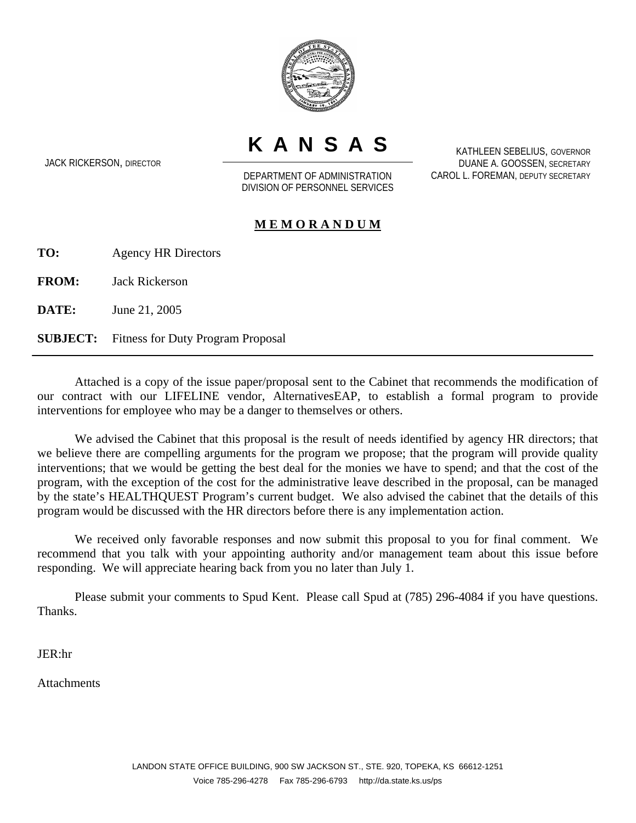

**KANSAS**

JACK RICKERSON, DIRECTOR

DEPARTMENT OF ADMINISTRATION DIVISION OF PERSONNEL SERVICES

KATHLEEN SEBELIUS, GOVERNOR DUANE A. GOOSSEN, SECRETARY CAROL L. FOREMAN, DEPUTY SECRETARY

### **M E M O R A N D U M**

**TO:** Agency HR Directors

**FROM:** Jack Rickerson

**DATE:** June 21, 2005

**SUBJECT:** Fitness for Duty Program Proposal

Attached is a copy of the issue paper/proposal sent to the Cabinet that recommends the modification of our contract with our LIFELINE vendor, AlternativesEAP, to establish a formal program to provide interventions for employee who may be a danger to themselves or others.

We advised the Cabinet that this proposal is the result of needs identified by agency HR directors; that we believe there are compelling arguments for the program we propose; that the program will provide quality interventions; that we would be getting the best deal for the monies we have to spend; and that the cost of the program, with the exception of the cost for the administrative leave described in the proposal, can be managed by the state's HEALTHQUEST Program's current budget. We also advised the cabinet that the details of this program would be discussed with the HR directors before there is any implementation action.

We received only favorable responses and now submit this proposal to you for final comment. We recommend that you talk with your appointing authority and/or management team about this issue before responding. We will appreciate hearing back from you no later than July 1.

Please submit your comments to Spud Kent. Please call Spud at (785) 296-4084 if you have questions. Thanks.

JER:hr

**Attachments**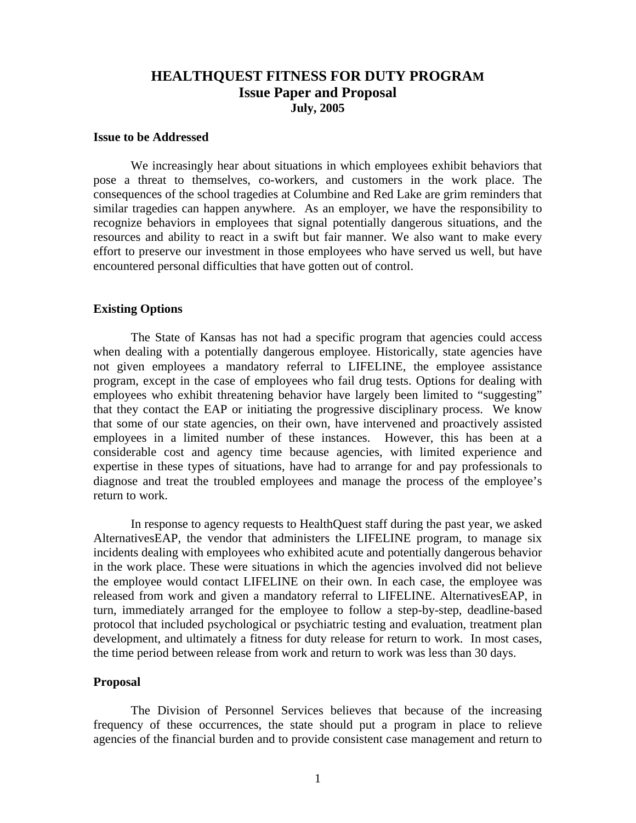## **HEALTHQUEST FITNESS FOR DUTY PROGRAM Issue Paper and Proposal July, 2005**

#### **Issue to be Addressed**

We increasingly hear about situations in which employees exhibit behaviors that pose a threat to themselves, co-workers, and customers in the work place. The consequences of the school tragedies at Columbine and Red Lake are grim reminders that similar tragedies can happen anywhere. As an employer, we have the responsibility to recognize behaviors in employees that signal potentially dangerous situations, and the resources and ability to react in a swift but fair manner. We also want to make every effort to preserve our investment in those employees who have served us well, but have encountered personal difficulties that have gotten out of control.

#### **Existing Options**

The State of Kansas has not had a specific program that agencies could access when dealing with a potentially dangerous employee. Historically, state agencies have not given employees a mandatory referral to LIFELINE, the employee assistance program, except in the case of employees who fail drug tests. Options for dealing with employees who exhibit threatening behavior have largely been limited to "suggesting" that they contact the EAP or initiating the progressive disciplinary process. We know that some of our state agencies, on their own, have intervened and proactively assisted employees in a limited number of these instances. However, this has been at a considerable cost and agency time because agencies, with limited experience and expertise in these types of situations, have had to arrange for and pay professionals to diagnose and treat the troubled employees and manage the process of the employee's return to work.

In response to agency requests to HealthQuest staff during the past year, we asked AlternativesEAP, the vendor that administers the LIFELINE program, to manage six incidents dealing with employees who exhibited acute and potentially dangerous behavior in the work place. These were situations in which the agencies involved did not believe the employee would contact LIFELINE on their own. In each case, the employee was released from work and given a mandatory referral to LIFELINE. AlternativesEAP, in turn, immediately arranged for the employee to follow a step-by-step, deadline-based protocol that included psychological or psychiatric testing and evaluation, treatment plan development, and ultimately a fitness for duty release for return to work. In most cases, the time period between release from work and return to work was less than 30 days.

#### **Proposal**

The Division of Personnel Services believes that because of the increasing frequency of these occurrences, the state should put a program in place to relieve agencies of the financial burden and to provide consistent case management and return to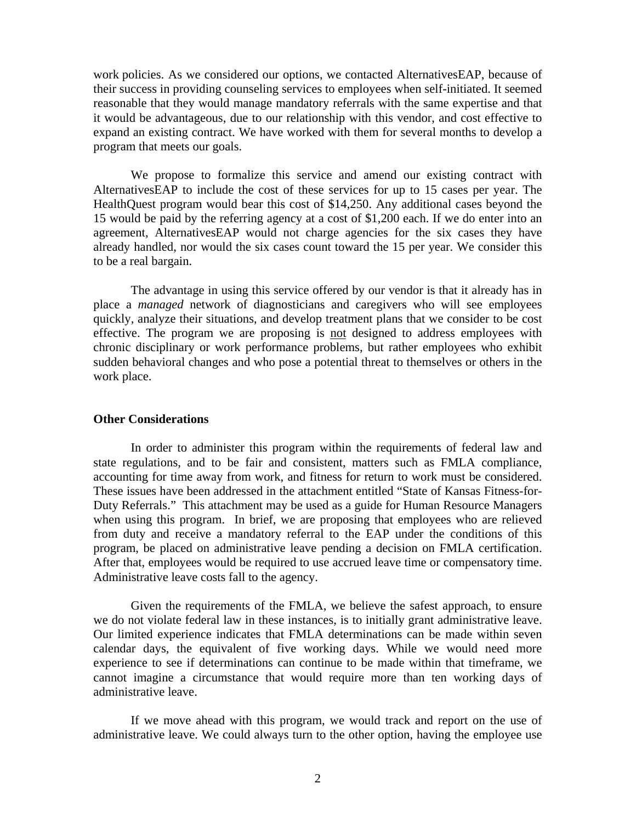work policies. As we considered our options, we contacted AlternativesEAP, because of their success in providing counseling services to employees when self-initiated. It seemed reasonable that they would manage mandatory referrals with the same expertise and that it would be advantageous, due to our relationship with this vendor, and cost effective to expand an existing contract. We have worked with them for several months to develop a program that meets our goals.

We propose to formalize this service and amend our existing contract with AlternativesEAP to include the cost of these services for up to 15 cases per year. The HealthQuest program would bear this cost of \$14,250. Any additional cases beyond the 15 would be paid by the referring agency at a cost of \$1,200 each. If we do enter into an agreement, AlternativesEAP would not charge agencies for the six cases they have already handled, nor would the six cases count toward the 15 per year. We consider this to be a real bargain.

The advantage in using this service offered by our vendor is that it already has in place a *managed* network of diagnosticians and caregivers who will see employees quickly, analyze their situations, and develop treatment plans that we consider to be cost effective. The program we are proposing is not designed to address employees with chronic disciplinary or work performance problems, but rather employees who exhibit sudden behavioral changes and who pose a potential threat to themselves or others in the work place.

#### **Other Considerations**

In order to administer this program within the requirements of federal law and state regulations, and to be fair and consistent, matters such as FMLA compliance, accounting for time away from work, and fitness for return to work must be considered. These issues have been addressed in the attachment entitled "State of Kansas Fitness-for-Duty Referrals." This attachment may be used as a guide for Human Resource Managers when using this program. In brief, we are proposing that employees who are relieved from duty and receive a mandatory referral to the EAP under the conditions of this program, be placed on administrative leave pending a decision on FMLA certification. After that, employees would be required to use accrued leave time or compensatory time. Administrative leave costs fall to the agency.

Given the requirements of the FMLA, we believe the safest approach, to ensure we do not violate federal law in these instances, is to initially grant administrative leave. Our limited experience indicates that FMLA determinations can be made within seven calendar days, the equivalent of five working days. While we would need more experience to see if determinations can continue to be made within that timeframe, we cannot imagine a circumstance that would require more than ten working days of administrative leave.

If we move ahead with this program, we would track and report on the use of administrative leave. We could always turn to the other option, having the employee use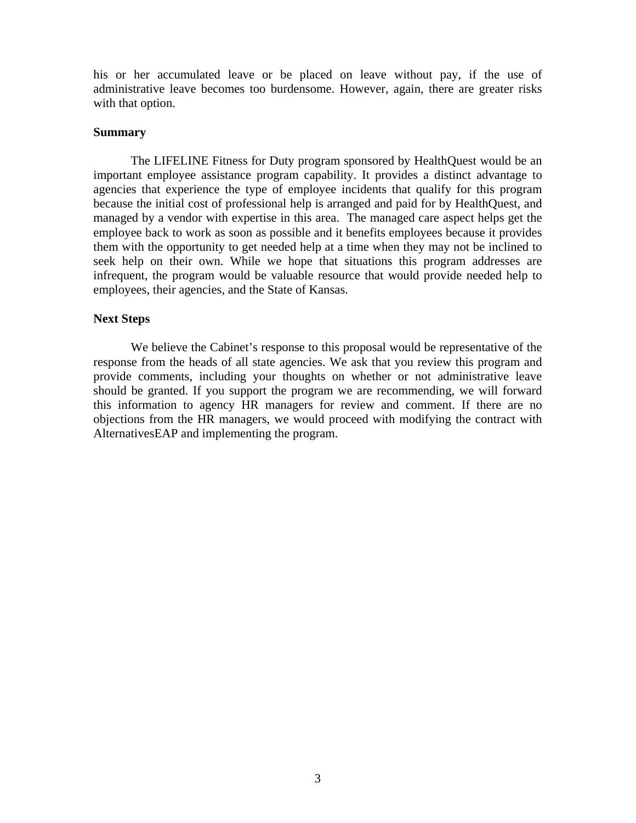his or her accumulated leave or be placed on leave without pay, if the use of administrative leave becomes too burdensome. However, again, there are greater risks with that option.

#### **Summary**

The LIFELINE Fitness for Duty program sponsored by HealthQuest would be an important employee assistance program capability. It provides a distinct advantage to agencies that experience the type of employee incidents that qualify for this program because the initial cost of professional help is arranged and paid for by HealthQuest, and managed by a vendor with expertise in this area. The managed care aspect helps get the employee back to work as soon as possible and it benefits employees because it provides them with the opportunity to get needed help at a time when they may not be inclined to seek help on their own. While we hope that situations this program addresses are infrequent, the program would be valuable resource that would provide needed help to employees, their agencies, and the State of Kansas.

#### **Next Steps**

We believe the Cabinet's response to this proposal would be representative of the response from the heads of all state agencies. We ask that you review this program and provide comments, including your thoughts on whether or not administrative leave should be granted. If you support the program we are recommending, we will forward this information to agency HR managers for review and comment. If there are no objections from the HR managers, we would proceed with modifying the contract with AlternativesEAP and implementing the program.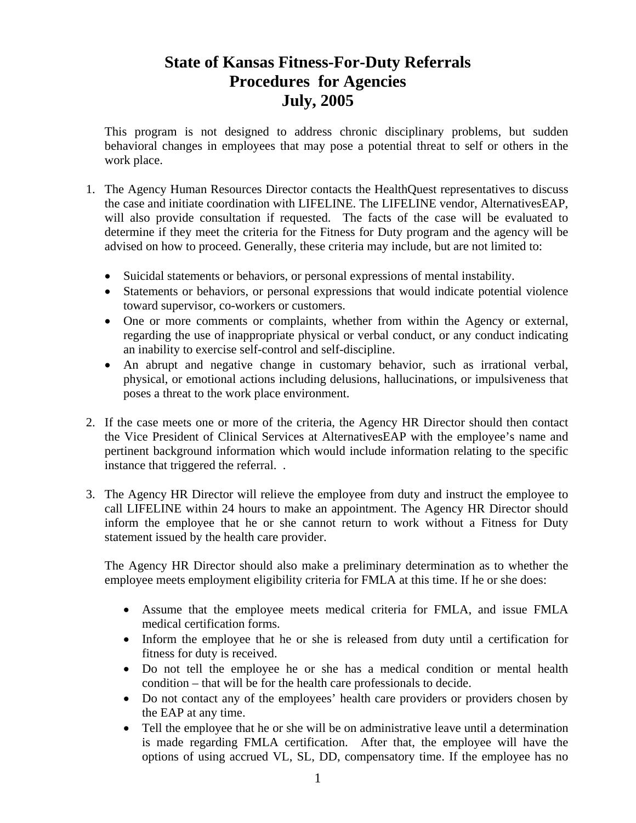# **State of Kansas Fitness-For-Duty Referrals Procedures for Agencies July, 2005**

This program is not designed to address chronic disciplinary problems, but sudden behavioral changes in employees that may pose a potential threat to self or others in the work place.

- 1. The Agency Human Resources Director contacts the HealthQuest representatives to discuss the case and initiate coordination with LIFELINE. The LIFELINE vendor, AlternativesEAP, will also provide consultation if requested. The facts of the case will be evaluated to determine if they meet the criteria for the Fitness for Duty program and the agency will be advised on how to proceed. Generally, these criteria may include, but are not limited to:
	- Suicidal statements or behaviors, or personal expressions of mental instability.
	- Statements or behaviors, or personal expressions that would indicate potential violence toward supervisor, co-workers or customers.
	- One or more comments or complaints, whether from within the Agency or external, regarding the use of inappropriate physical or verbal conduct, or any conduct indicating an inability to exercise self-control and self-discipline.
	- An abrupt and negative change in customary behavior, such as irrational verbal, physical, or emotional actions including delusions, hallucinations, or impulsiveness that poses a threat to the work place environment.
- 2. If the case meets one or more of the criteria, the Agency HR Director should then contact the Vice President of Clinical Services at AlternativesEAP with the employee's name and pertinent background information which would include information relating to the specific instance that triggered the referral. .
- 3. The Agency HR Director will relieve the employee from duty and instruct the employee to call LIFELINE within 24 hours to make an appointment. The Agency HR Director should inform the employee that he or she cannot return to work without a Fitness for Duty statement issued by the health care provider.

The Agency HR Director should also make a preliminary determination as to whether the employee meets employment eligibility criteria for FMLA at this time. If he or she does:

- Assume that the employee meets medical criteria for FMLA, and issue FMLA medical certification forms.
- Inform the employee that he or she is released from duty until a certification for fitness for duty is received.
- Do not tell the employee he or she has a medical condition or mental health condition – that will be for the health care professionals to decide.
- Do not contact any of the employees' health care providers or providers chosen by the EAP at any time.
- Tell the employee that he or she will be on administrative leave until a determination is made regarding FMLA certification. After that, the employee will have the options of using accrued VL, SL, DD, compensatory time. If the employee has no